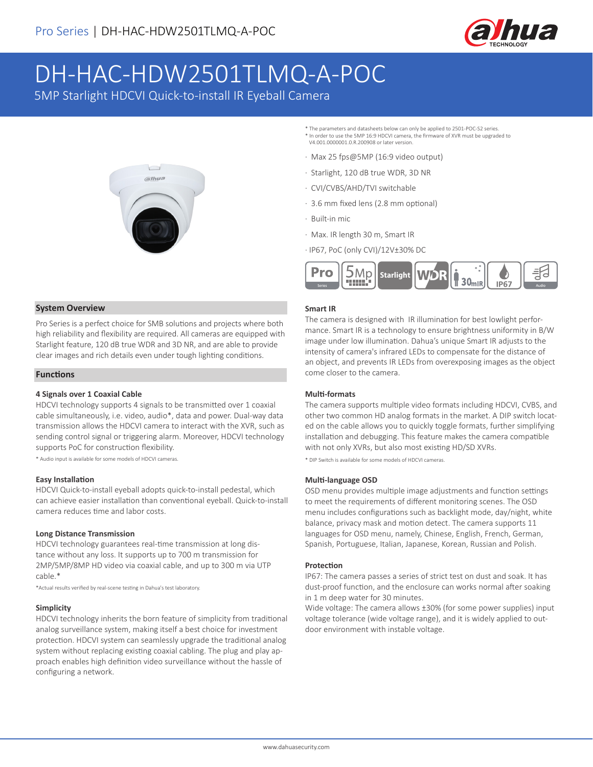

# DH-HAC-HDW2501TLMQ-A-POC

5MP Starlight HDCVI Quick-to-install IR Eyeball Camera



- \* The parameters and datasheets below can only be applied to 2501-POC-S2 series. \* In order to use the 5MP 16:9 HDCVI camera, the firmware of XVR must be upgraded to V4.001.0000001.0.R.200908 or later version.
- · Max 25 fps@5MP (16:9 video output)
- · Starlight, 120 dB true WDR, 3D NR
- · CVI/CVBS/AHD/TVI switchable
- · 3.6 mm fixed lens (2.8 mm optional)
- · Built-in mic
- · Max. IR length 30 m, Smart IR
- · IP67, PoC (only CVI)/12V±30% DC



#### **Smart IR**

The camera is designed with IR illumination for best lowlight performance. Smart IR is a technology to ensure brightness uniformity in B/W image under low illumination. Dahua's unique Smart IR adjusts to the intensity of camera's infrared LEDs to compensate for the distance of an object, and prevents IR LEDs from overexposing images as the object come closer to the camera.

#### **Multi-formats**

The camera supports multiple video formats including HDCVI, CVBS, and other two common HD analog formats in the market. A DIP switch located on the cable allows you to quickly toggle formats, further simplifying installation and debugging. This feature makes the camera compatible with not only XVRs, but also most existing HD/SD XVRs.

\* DIP Switch is available for some models of HDCVI cameras.

#### **Multi-language OSD**

OSD menu provides multiple image adjustments and function settings to meet the requirements of different monitoring scenes. The OSD menu includes configurations such as backlight mode, day/night, white balance, privacy mask and motion detect. The camera supports 11 languages for OSD menu, namely, Chinese, English, French, German, Spanish, Portuguese, Italian, Japanese, Korean, Russian and Polish.

#### **Protection**

IP67: The camera passes a series of strict test on dust and soak. It has dust-proof function, and the enclosure can works normal after soaking in 1 m deep water for 30 minutes.

Wide voltage: The camera allows ±30% (for some power supplies) input voltage tolerance (wide voltage range), and it is widely applied to outdoor environment with instable voltage.

#### **System Overview**

Pro Series is a perfect choice for SMB solutions and projects where both high reliability and flexibility are required. All cameras are equipped with Starlight feature, 120 dB true WDR and 3D NR, and are able to provide clear images and rich details even under tough lighting conditions.

#### **Functions**

#### **4 Signals over 1 Coaxial Cable**

HDCVI technology supports 4 signals to be transmitted over 1 coaxial cable simultaneously, i.e. video, audio\*, data and power. Dual-way data transmission allows the HDCVI camera to interact with the XVR, such as sending control signal or triggering alarm. Moreover, HDCVI technology supports PoC for construction flexibility.

\* Audio input is available for some models of HDCVI cameras.

#### **Easy Installation**

HDCVI Quick-to-install eyeball adopts quick-to-install pedestal, which can achieve easier installation than conventional eyeball. Quick-to-install camera reduces time and labor costs.

#### **Long Distance Transmission**

HDCVI technology guarantees real-time transmission at long distance without any loss. It supports up to 700 m transmission for 2MP/5MP/8MP HD video via coaxial cable, and up to 300 m via UTP cable.\*

\*Actual results verified by real-scene testing in Dahua's test laboratory.

#### **Simplicity**

HDCVI technology inherits the born feature of simplicity from traditional analog surveillance system, making itself a best choice for investment protection. HDCVI system can seamlessly upgrade the traditional analog system without replacing existing coaxial cabling. The plug and play approach enables high definition video surveillance without the hassle of configuring a network.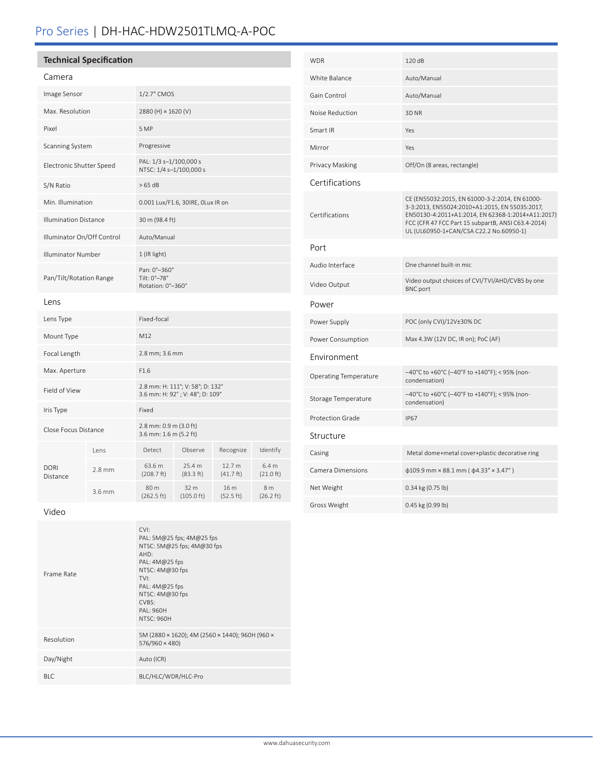# Pro Series | DH-HAC-HDW2501TLMQ-A-POC

## **Technical Specification**

| ı<br>a r r<br>Ē |
|-----------------|
|-----------------|

| Image Sensor                 |          | 1/2.7" CMOS                                                         |                              |                     |                                       |  |
|------------------------------|----------|---------------------------------------------------------------------|------------------------------|---------------------|---------------------------------------|--|
| Max. Resolution              |          | 2880 (H) × 1620 (V)                                                 |                              |                     |                                       |  |
| Pixel                        |          | 5 MP                                                                |                              |                     |                                       |  |
| Scanning System              |          | Progressive                                                         |                              |                     |                                       |  |
| Electronic Shutter Speed     |          | PAL: 1/3 s-1/100,000 s<br>NTSC: 1/4 s-1/100,000 s                   |                              |                     |                                       |  |
| S/N Ratio                    |          | >65 dB                                                              |                              |                     |                                       |  |
| Min. Illumination            |          | 0.001 Lux/F1.6, 30IRE, OLux IR on                                   |                              |                     |                                       |  |
| <b>Illumination Distance</b> |          | 30 m (98.4 ft)                                                      |                              |                     |                                       |  |
| Illuminator On/Off Control   |          | Auto/Manual                                                         |                              |                     |                                       |  |
| <b>Illuminator Number</b>    |          | 1 (IR light)                                                        |                              |                     |                                       |  |
| Pan/Tilt/Rotation Range      |          | Pan: 0°-360°<br>Tilt: 0°-78°<br>Rotation: 0°-360°                   |                              |                     |                                       |  |
| Lens                         |          |                                                                     |                              |                     |                                       |  |
| Lens Type                    |          | Fixed-focal                                                         |                              |                     |                                       |  |
| Mount Type                   |          | M12                                                                 |                              |                     |                                       |  |
| Focal Length                 |          | 2.8 mm; 3.6 mm                                                      |                              |                     |                                       |  |
| Max. Aperture                |          | F1.6                                                                |                              |                     |                                       |  |
| Field of View                |          | 2.8 mm: H: 111°; V: 58°; D: 132°<br>3.6 mm: H: 92°; V: 48°; D: 109° |                              |                     |                                       |  |
| Iris Type                    |          | Fixed                                                               |                              |                     |                                       |  |
| Close Focus Distance         |          | 2.8 mm: 0.9 m (3.0 ft)<br>3.6 mm: 1.6 m (5.2 ft)                    |                              |                     |                                       |  |
|                              | Lens     | Detect                                                              | Observe                      | Recognize           | Identify                              |  |
| <b>DORI</b><br>Distance      | $2.8$ mm | 63.6 m<br>(208.7 ft)                                                | 25.4 m<br>(83.3 ft)          | 12.7 m<br>(41.7 ft) | 6.4 <sub>m</sub><br>(21.0 ft)         |  |
|                              | 3.6 mm   | 80 m<br>(262.5 ft)                                                  | 32 m<br>$(105.0 \text{ ft})$ | 16 m<br>(52.5 ft)   | 8 <sub>m</sub><br>$(26.2 \text{ ft})$ |  |

| WDR                   | 120 dB                                                                                                                                                                                                                                                 |
|-----------------------|--------------------------------------------------------------------------------------------------------------------------------------------------------------------------------------------------------------------------------------------------------|
| White Balance         | Auto/Manual                                                                                                                                                                                                                                            |
| Gain Control          | Auto/Manual                                                                                                                                                                                                                                            |
| Noise Reduction       | 3D <sub>NR</sub>                                                                                                                                                                                                                                       |
| Smart IR              | Yes                                                                                                                                                                                                                                                    |
| Mirror                | Yes                                                                                                                                                                                                                                                    |
| Privacy Masking       | Off/On (8 areas, rectangle)                                                                                                                                                                                                                            |
| Certifications        |                                                                                                                                                                                                                                                        |
| Certifications        | CE (EN55032:2015, EN 61000-3-2:2014, EN 61000-<br>3-3:2013, EN55024:2010+A1:2015, EN 55035:2017,<br>EN50130-4:2011+A1:2014, EN 62368-1:2014+A11:2017)<br>FCC (CFR 47 FCC Part 15 subpartB, ANSI C63.4-2014)<br>UL (UL60950-1+CAN/CSA C22.2 No.60950-1) |
| Port                  |                                                                                                                                                                                                                                                        |
| Audio Interface       | One channel built-in mic                                                                                                                                                                                                                               |
| Video Output          | Video output choices of CVI/TVI/AHD/CVBS by one<br><b>BNC</b> port                                                                                                                                                                                     |
| Power                 |                                                                                                                                                                                                                                                        |
| Power Supply          | POC (only CVI)/12V±30% DC                                                                                                                                                                                                                              |
| Power Consumption     | Max 4.3W (12V DC, IR on); PoC (AF)                                                                                                                                                                                                                     |
| Environment           |                                                                                                                                                                                                                                                        |
| Operating Temperature | -40°C to +60°C (-40°F to +140°F); < 95% (non-<br>condensation)                                                                                                                                                                                         |
| Storage Temperature   | -40°C to +60°C (-40°F to +140°F); < 95% (non-<br>condensation)                                                                                                                                                                                         |
| Protection Grade      | <b>IP67</b>                                                                                                                                                                                                                                            |
| Structure             |                                                                                                                                                                                                                                                        |
| Casing                | Metal dome+metal cover+plastic decorative ring                                                                                                                                                                                                         |
| Camera Dimensions     | $\phi$ 109.9 mm × 88.1 mm ( $\phi$ 4.33" × 3.47")                                                                                                                                                                                                      |
| Net Weight            | 0.34 kg (0.75 lb)                                                                                                                                                                                                                                      |
| Gross Weight          | 0.45 kg (0.99 lb)                                                                                                                                                                                                                                      |

Video

| Frame Rate | CVI:<br>PAL: 5M@25 fps; 4M@25 fps<br>NTSC: 5M@25 fps; 4M@30 fps<br>AHD:<br>PAL: $4M@25$ fps<br>NTSC: $4M@30$ fps<br>TVI:<br>PAL: $4M@25$ fps<br>NTSC: 4M@30 fps<br>CVBS:<br>PAI: 960H<br><b>NTSC: 960H</b> |
|------------|------------------------------------------------------------------------------------------------------------------------------------------------------------------------------------------------------------|
| Resolution | 5M (2880 × 1620); 4M (2560 × 1440); 960H (960 ×<br>576/960 × 480)                                                                                                                                          |
| Day/Night  | Auto (ICR)                                                                                                                                                                                                 |
| BLC.       | BLC/HLC/WDR/HLC-Pro                                                                                                                                                                                        |